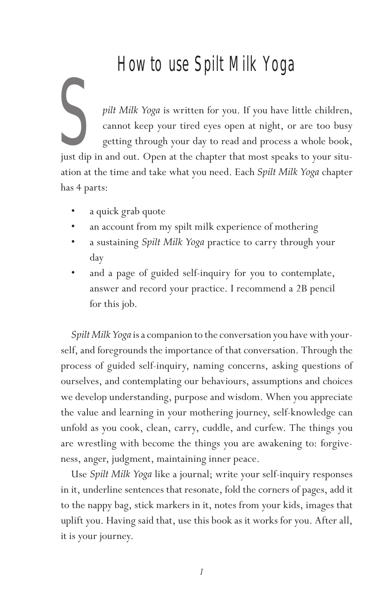## How to use Spilt Milk Yoga

pilt Milk Yoga is written for you. If you have little children, cannot keep your tired eyes open at night, or are too busy getting through your day to read and process a whole book, just dip in and out. Open at the chapter that most speaks to your situation at the time and take what you need. Each *Spilt Milk Yoga* chapter has 4 parts:

- a quick grab quote
- an account from my spilt milk experience of mothering
- a sustaining *Spilt Milk Yoga* practice to carry through your day
- and a page of guided self-inquiry for you to contemplate, answer and record your practice. I recommend a 2B pencil for this job.

*Spilt Milk Yoga* is a companion to the conversation you have with yourself, and foregrounds the importance of that conversation. Through the process of guided self-inquiry, naming concerns, asking questions of ourselves, and contemplating our behaviours, assumptions and choices we develop understanding, purpose and wisdom. When you appreciate the value and learning in your mothering journey, self-knowledge can unfold as you cook, clean, carry, cuddle, and curfew. The things you are wrestling with become the things you are awakening to: forgiveness, anger, judgment, maintaining inner peace.

Use *Spilt Milk Yoga* like a journal; write your self-inquiry responses in it, underline sentences that resonate, fold the corners of pages, add it to the nappy bag, stick markers in it, notes from your kids, images that uplift you. Having said that, use this book as it works for you. After all, it is your journey.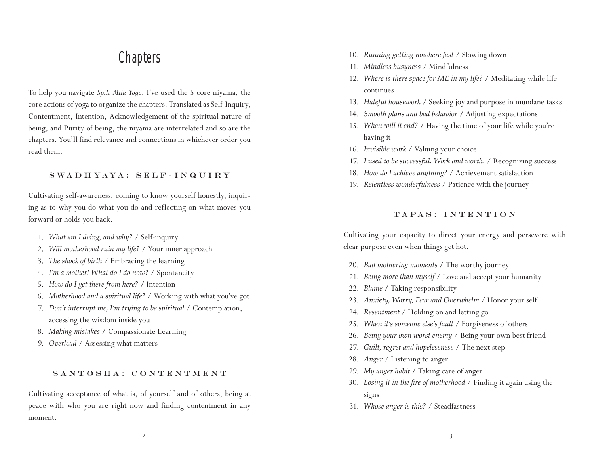## **Chapters**

To help you navigate *Spilt Milk Yoga*, I've used the 5 core niyama, the core actions of yoga to organize the chapters. Translated as Self-Inquiry, Contentment, Intention, Acknowledgement of the spiritual nature of being, and Purity of being, the niyama are interrelated and so are the chapters. You'll find relevance and connections in whichever order you read them.

#### S WAD H YAYA: SELF-IN QUIRY

Cultivating self-awareness, coming to know yourself honestly, inquiring as to why you do what you do and reflecting on what moves you forward or holds you back.

- 1. *What am I doing, and why?* / Self-inquiry
- 2. *Will motherhood ruin my life?* / Your inner approach
- 3. *The shock of birth* / Embracing the learning
- 4. *I'm a mother! What do I do now?* / Spontaneity
- 5. *How do I get there from here?* / Intention
- 6. *Motherhood and a spiritual life?* / Working with what you've got
- 7. *Don't interrupt me, I'm trying to be spiritual* / Contemplation, accessing the wisdom inside you
- 8. *Making mistakes* / Compassionate Learning
- 9. *Overload* / Assessing what matters

#### SANTOSHA: CONTENTMENT

Cultivating acceptance of what is, of yourself and of others, being at peace with who you are right now and finding contentment in any moment.

- 10. *Running getting nowhere fast* / Slowing down
- 11. *Mindless busyness* / Mindfulness
- 12. *Where is there space for ME in my life?* / Meditating while life continues
- 13. *Hateful housework* / Seeking joy and purpose in mundane tasks
- 14. *Smooth plans and bad behavior* / Adjusting expectations
- 15. *When will it end?* / Having the time of your life while you're having it
- 16. *Invisible work* / Valuing your choice
- 17. *I used to be successful. Work and worth.* / Recognizing success
- 18. *How do I achieve anything?* / Achievement satisfaction
- 19. *Relentless wonderfulness* / Patience with the journey

#### Tapas: Intention

Cultivating your capacity to direct your energy and persevere with clear purpose even when things get hot.

- 20. *Bad mothering moments* / The worthy journey
- 21. *Being more than myself* / Love and accept your humanity
- 22. *Blame* / Taking responsibility
- 23. *Anxiety, Worry, Fear and Overwhelm* / Honor your self
- 24. *Resentment* / Holding on and letting go
- 25. *When it's someone else's fault* / Forgiveness of others
- 26. *Being your own worst enemy* / Being your own best friend
- 27. *Guilt, regret and hopelessness* / The next step
- 28. *Anger* / Listening to anger
- 29. *My anger habit* / Taking care of anger
- 30. *Losing it in the fire of motherhood* / Finding it again using the signs
- 31. *Whose anger is this?* / Steadfastness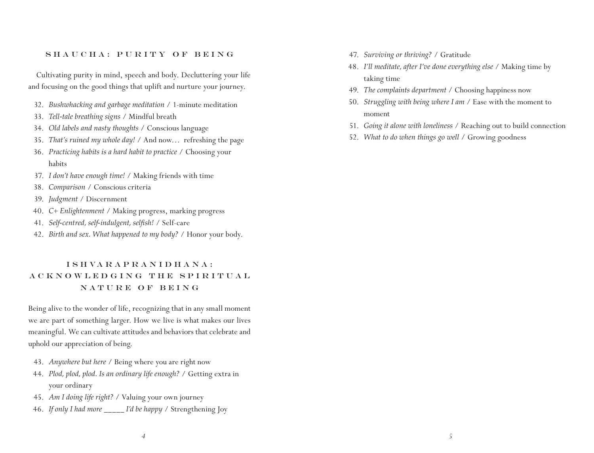### Shaucha: Purity of being

Cultivating purity in mind, speech and body. Decluttering your life and focusing on the good things that uplift and nurture your journey.

- 32. *Bushwhacking and garbage meditation* / 1-minute meditation
- 33. *Tell-tale breathing signs* / Mindful breath
- 34. *Old labels and nasty thoughts* / Conscious language
- 35. *That's ruined my whole day!* / And now… refreshing the page
- 36. *Practicing habits is a hard habit to practice* / Choosing your habits
- 37. *I don't have enough time!* / Making friends with time
- 38. *Comparison* / Conscious criteria
- 39. *Judgment* / Discernment
- 40. *C+ Enlightenment* / Making progress, marking progress
- 41. *Self-centred, self-indulgent, selfish!* / Self-care
- 42. *Birth and sex. What happened to my body?* / Honor your body.

## I s h va r a p r a n i d h a n a : A C K N O W L E D G I N G T H E S P I R I T U A L nature of being

Being alive to the wonder of life, recognizing that in any small moment we are part of something larger. How we live is what makes our lives meaningful. We can cultivate attitudes and behaviors that celebrate and uphold our appreciation of being.

- 43. *Anywhere but here* / Being where you are right now
- 44. *Plod, plod, plod. Is an ordinary life enough?* / Getting extra in your ordinary
- 45. *Am I doing life right?* / Valuing your own journey
- 46. *If only I had more \_\_\_\_\_ I'd be happy* / Strengthening Joy
- 47. *Surviving or thriving?* / Gratitude
- 48. *I'll meditate, after I've done everything else* / Making time by taking time
- 49. *The complaints department* / Choosing happiness now
- 50. *Struggling with being where I am* / Ease with the moment to moment
- 51. *Going it alone with loneliness* / Reaching out to build connection
- 52. *What to do when things go well* / Growing goodness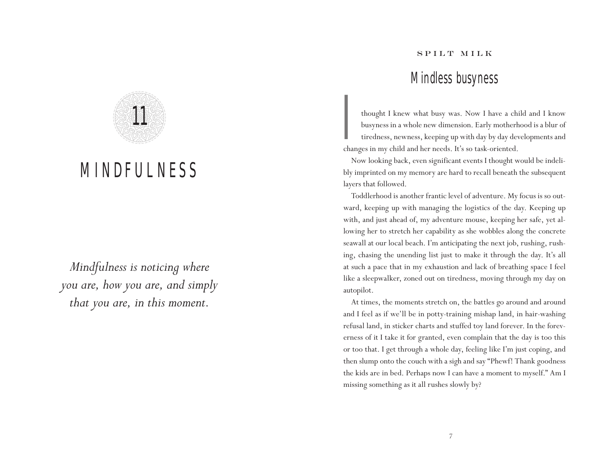## MINDFULNESS

*Mindfulness is noticing where you are, how you are, and simply that you are, in this moment.*

### Spilt Milk

## Mindless busyness

thought I knew what busy was. Now I have a child and I know busyness in a whole new dimension. Early motherhood is a blur of tiredness, newness, keeping up with day by day developments and changes in my child and her needs. It's so task-oriented.

Now looking back, even significant events I thought would be indelibly imprinted on my memory are hard to recall beneath the subsequent layers that followed.

Toddlerhood is another frantic level of adventure. My focus is so outward, keeping up with managing the logistics of the day. Keeping up with, and just ahead of, my adventure mouse, keeping her safe, yet allowing her to stretch her capability as she wobbles along the concrete seawall at our local beach. I'm anticipating the next job, rushing, rushing, chasing the unending list just to make it through the day. It's all at such a pace that in my exhaustion and lack of breathing space I feel like a sleepwalker, zoned out on tiredness, moving through my day on autopilot.

At times, the moments stretch on, the battles go around and around and I feel as if we'll be in potty-training mishap land, in hair-washing refusal land, in sticker charts and stuffed toy land forever. In the foreverness of it I take it for granted, even complain that the day is too this or too that. I get through a whole day, feeling like I'm just coping, and then slump onto the couch with a sigh and say "Phewf! Thank goodness the kids are in bed. Perhaps now I can have a moment to myself." Am I missing something as it all rushes slowly by?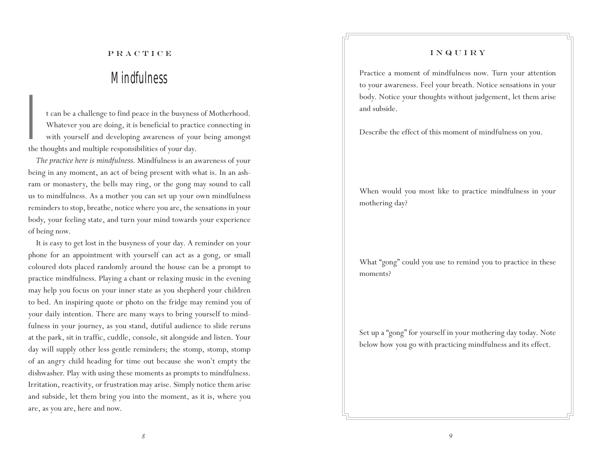## **Mindfulness**

It can be a challenge to find peace in the busyness<br>Whatever you are doing, it is beneficial to practivith your<br>self and developing awareness of your day.<br>the thoughts and multiple responsibilities of your day. t can be a challenge to find peace in the busyness of Motherhood. Whatever you are doing, it is beneficial to practice connecting in with yourself and developing awareness of your being amongst

*The practice here is mindfulness.* Mindfulness is an awareness of your being in any moment, an act of being present with what is. In an ashram or monastery, the bells may ring, or the gong may sound to call us to mindfulness. As a mother you can set up your own mindfulness reminders to stop, breathe, notice where you are, the sensations in your body, your feeling state, and turn your mind towards your experience of being now.

It is easy to get lost in the busyness of your day. A reminder on your phone for an appointment with yourself can act as a gong, or small coloured dots placed randomly around the house can be a prompt to practice mindfulness. Playing a chant or relaxing music in the evening may help you focus on your inner state as you shepherd your children to bed. An inspiring quote or photo on the fridge may remind you of your daily intention. There are many ways to bring yourself to mindfulness in your journey, as you stand, dutiful audience to slide reruns at the park, sit in traffic, cuddle, console, sit alongside and listen. Your day will supply other less gentle reminders; the stomp, stomp, stomp of an angry child heading for time out because she won't empty the dishwasher. Play with using these moments as prompts to mindfulness. Irritation, reactivity, or frustration may arise. Simply notice them arise and subside, let them bring you into the moment, as it is, where you are, as you are, here and now.

#### inquiry

Practice a moment of mindfulness now. Turn your attention to your awareness. Feel your breath. Notice sensations in your body. Notice your thoughts without judgement, let them arise and subside.

Describe the effect of this moment of mindfulness on you.

When would you most like to practice mindfulness in your mothering day?

What "gong" could you use to remind you to practice in these moments?

Set up a "gong" for yourself in your mothering day today. Note below how you go with practicing mindfulness and its effect.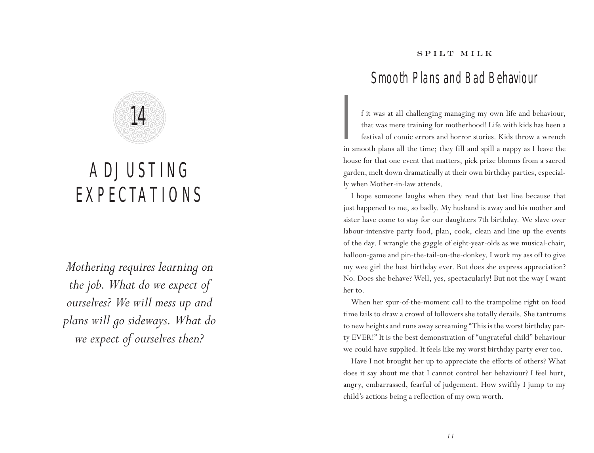## ADJUSTING EXPECTATIONS

*Mothering requires learning on the job. What do we expect of ourselves? We will mess up and plans will go sideways. What do we expect of ourselves then?* 

### Spilt Milk

## Smooth Plans and Bad Behaviour

If it was at all challenging managing my own life and behaviour, that was mere training for motherhood! Life with kids has been a festival of comic errors and horror stories. Kids throw a wrench in smooth plans all the tim f it was at all challenging managing my own life and behaviour, that was mere training for motherhood! Life with kids has been a festival of comic errors and horror stories. Kids throw a wrench house for that one event that matters, pick prize blooms from a sacred garden, melt down dramatically at their own birthday parties, especially when Mother-in-law attends.

I hope someone laughs when they read that last line because that just happened to me, so badly. My husband is away and his mother and sister have come to stay for our daughters 7th birthday. We slave over labour-intensive party food, plan, cook, clean and line up the events of the day. I wrangle the gaggle of eight-year-olds as we musical-chair, balloon-game and pin-the-tail-on-the-donkey. I work my ass off to give my wee girl the best birthday ever. But does she express appreciation? No. Does she behave? Well, yes, spectacularly! But not the way I want her to.

When her spur-of-the-moment call to the trampoline right on food time fails to draw a crowd of followers she totally derails. She tantrums to new heights and runs away screaming "This is the worst birthday party EVER!" It is the best demonstration of "ungrateful child" behaviour we could have supplied. It feels like my worst birthday party ever too.

Have I not brought her up to appreciate the efforts of others? What does it say about me that I cannot control her behaviour? I feel hurt, angry, embarrassed, fearful of judgement. How swiftly I jump to my child's actions being a reflection of my own worth.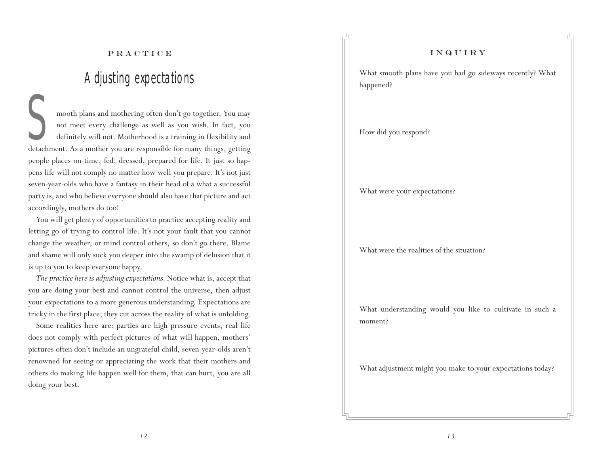## Adjusting expectations

mooth plans and mothering often don't go together. You may not meet every challenge as well as you wish. In fact, you definitely will not. Motherhood is a training in flexibility and detachment. As a mother you are respons not meet every challenge as well as you wish. In fact, you definitely will not. Motherhood is a training in flexibility and people places on time, fed, dressed, prepared for life. It just so happens life will not comply no matter how well you prepare. It's not just seven-year-olds who have a fantasy in their head of a what a successful party is, and who believe everyone should also have that picture and act accordingly, mothers do too!

You will get plenty of opportunities to practice accepting reality and letting go of trying to control life. It's not your fault that you cannot change the weather, or mind control others, so don't go there. Blame and shame will only suck you deeper into the swamp of delusion that it is up to you to keep everyone happy.

*The practice here is adjusting expectations.* Notice what is, accept that you are doing your best and cannot control the universe, then adjust your expectations to a more generous understanding. Expectations are tricky in the first place; they cut across the reality of what is unfolding.

Some realities here are: parties are high pressure events, real life does not comply with perfect pictures of what will happen, mothers' pictures often don't include an ungrateful child, seven-year-olds aren't renowned for seeing or appreciating the work that their mothers and others do making life happen well for them, that can hurt, you are all doing your best.

#### inquiry

What smooth plans have you had go sideways recently? What happened?

How did you respond?

What were your expectations?

What were the realities of the situation?

What understanding would you like to cultivate in such a moment?

What adjustment might you make to your expectations today?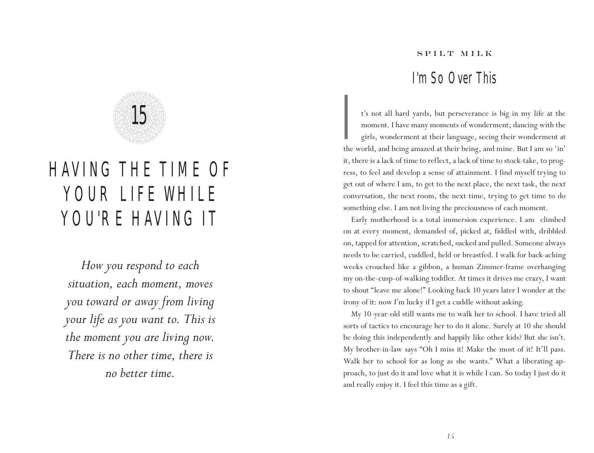## HAVING THE TIME OF YOUR LIFE WHILE YOU'RE HAVING IT

*How you respond to each situation, each moment, moves you toward or away from living your life as you want to. This is the moment you are living now. There is no other time, there is no better time.* 

## Spilt Milk

## I'm So Over This

t's not all hard yards, but perseverance is big in my life at the moment. I have many moments of wonderment; dancing with the girls, wonderment at their language, seeing their wonderment at the world, and being amazed at t t's not all hard yards, but perseverance is big in my life at the moment. I have many moments of wonderment; dancing with the girls, wonderment at their language, seeing their wonderment at it, there is a lack of time to reflect, a lack of time to stock-take, to progress, to feel and develop a sense of attainment. I find myself trying to get out of where I am, to get to the next place, the next task, the next conversation, the next room, the next time, trying to get time to do something else. I am not living the preciousness of each moment.

Early motherhood is a total immersion experience. I am climbed on at every moment, demanded of, picked at, fiddled with, dribbled on, tapped for attention, scratched, sucked and pulled. Someone always needs to be carried, cuddled, held or breastfed. I walk for back-aching weeks crouched like a gibbon, a human Zimmer-frame overhanging my on-the-cusp-of-walking toddler. At times it drives me crazy, I want to shout "leave me alone!" Looking back 10 years later I wonder at the irony of it: now I'm lucky if I get a cuddle without asking.

My 10-year-old still wants me to walk her to school. I have tried all sorts of tactics to encourage her to do it alone. Surely at 10 she should be doing this independently and happily like other kids? But she isn't. My brother-in-law says "Oh I miss it! Make the most of it! It'll pass. Walk her to school for as long as she wants." What a liberating approach, to just do it and love what it is while I can. So today I just do it and really enjoy it. I feel this time as a gift.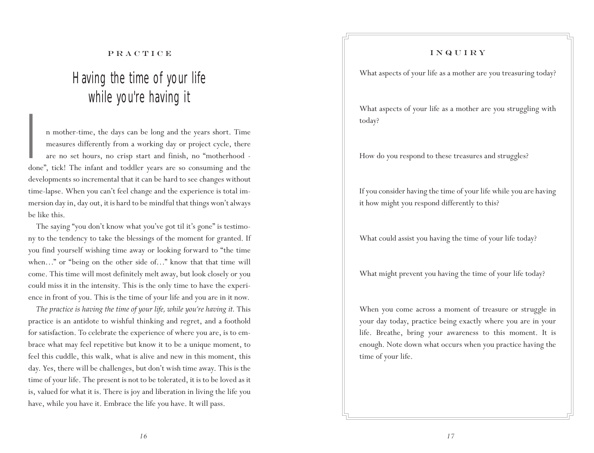## Having the time of your life while you're having it

In mother-time, the days can be long and the years short. Time measures differently from a working day or project cycle, there are no set hours, no crisp start and finish, no "motherhood - done", tick! The infant and toddl n mother-time, the days can be long and the years short. Time measures differently from a working day or project cycle, there are no set hours, no crisp start and finish, no "motherhood developments so incremental that it can be hard to see changes without time-lapse. When you can't feel change and the experience is total immersion day in, day out, it is hard to be mindful that things won't always be like this.

The saying "you don't know what you've got til it's gone" is testimony to the tendency to take the blessings of the moment for granted. If you find yourself wishing time away or looking forward to "the time when…" or "being on the other side of…" know that that time will come. This time will most definitely melt away, but look closely or you could miss it in the intensity. This is the only time to have the experience in front of you. This is the time of your life and you are in it now.

*The practice is having the time of your life, while you're having it.* This practice is an antidote to wishful thinking and regret, and a foothold for satisfaction. To celebrate the experience of where you are, is to embrace what may feel repetitive but know it to be a unique moment, to feel this cuddle, this walk, what is alive and new in this moment, this day. Yes, there will be challenges, but don't wish time away. This is the time of your life. The present is not to be tolerated, it is to be loved as it is, valued for what it is. There is joy and liberation in living the life you have, while you have it. Embrace the life you have. It will pass.

#### inquiry

What aspects of your life as a mother are you treasuring today?

What aspects of your life as a mother are you struggling with today?

How do you respond to these treasures and struggles?

If you consider having the time of your life while you are having it how might you respond differently to this?

What could assist you having the time of your life today?

What might prevent you having the time of your life today?

When you come across a moment of treasure or struggle in your day today, practice being exactly where you are in your life. Breathe, bring your awareness to this moment. It is enough. Note down what occurs when you practice having the time of your life.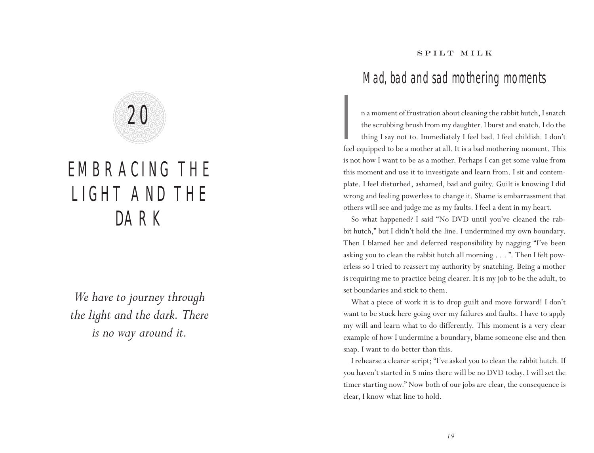## EMBRACING THE LIGHT AND THE DARK

*We have to journey through the light and the dark. There is no way around it.* 

## Spilt Milk

## Mad, bad and sad mothering moments

In a moment of frustration about cleaning the rabbit hutch, I snatch the scrubbing brush from my daughter. I burst and snatch. I do the thing I say not to. Immediately I feel bad. I feel childish. I don't feel equipped to n a moment of frustration about cleaning the rabbit hutch, I snatch the scrubbing brush from my daughter. I burst and snatch. I do the thing I say not to. Immediately I feel bad. I feel childish. I don't is not how I want to be as a mother. Perhaps I can get some value from this moment and use it to investigate and learn from. I sit and contemplate. I feel disturbed, ashamed, bad and guilty. Guilt is knowing I did wrong and feeling powerless to change it. Shame is embarrassment that others will see and judge me as my faults. I feel a dent in my heart.

So what happened? I said "No DVD until you've cleaned the rabbit hutch," but I didn't hold the line. I undermined my own boundary. Then I blamed her and deferred responsibility by nagging "I've been asking you to clean the rabbit hutch all morning . . . ". Then I felt powerless so I tried to reassert my authority by snatching. Being a mother is requiring me to practice being clearer. It is my job to be the adult, to set boundaries and stick to them.

What a piece of work it is to drop guilt and move forward! I don't want to be stuck here going over my failures and faults. I have to apply my will and learn what to do differently. This moment is a very clear example of how I undermine a boundary, blame someone else and then snap. I want to do better than this.

I rehearse a clearer script; "I've asked you to clean the rabbit hutch. If you haven't started in 5 mins there will be no DVD today. I will set the timer starting now." Now both of our jobs are clear, the consequence is clear, I know what line to hold.